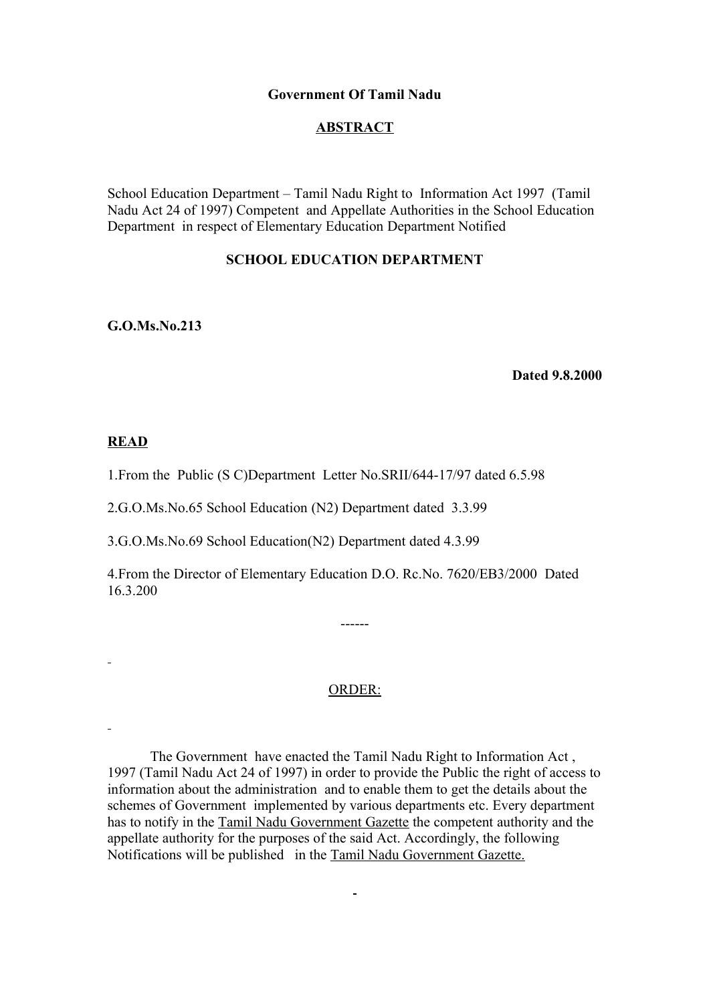### **Government Of Tamil Nadu**

## **ABSTRACT**

School Education Department – Tamil Nadu Right to Information Act 1997 (Tamil Nadu Act 24 of 1997) Competent and Appellate Authorities in the School Education Department in respect of Elementary Education Department Notified

# **SCHOOL EDUCATION DEPARTMENT**

**G.O.Ms.No.213**

 **Dated 9.8.2000**

## **READ**

1.From the Public (S C)Department Letter No.SRII/644-17/97 dated 6.5.98

2.G.O.Ms.No.65 School Education (N2) Department dated 3.3.99

3.G.O.Ms.No.69 School Education(N2) Department dated 4.3.99

4.From the Director of Elementary Education D.O. Rc.No. 7620/EB3/2000 Dated 16.3.200

ORDER:

------

 The Government have enacted the Tamil Nadu Right to Information Act , 1997 (Tamil Nadu Act 24 of 1997) in order to provide the Public the right of access to information about the administration and to enable them to get the details about the schemes of Government implemented by various departments etc. Every department has to notify in the Tamil Nadu Government Gazette the competent authority and the appellate authority for the purposes of the said Act. Accordingly, the following Notifications will be published in the Tamil Nadu Government Gazette.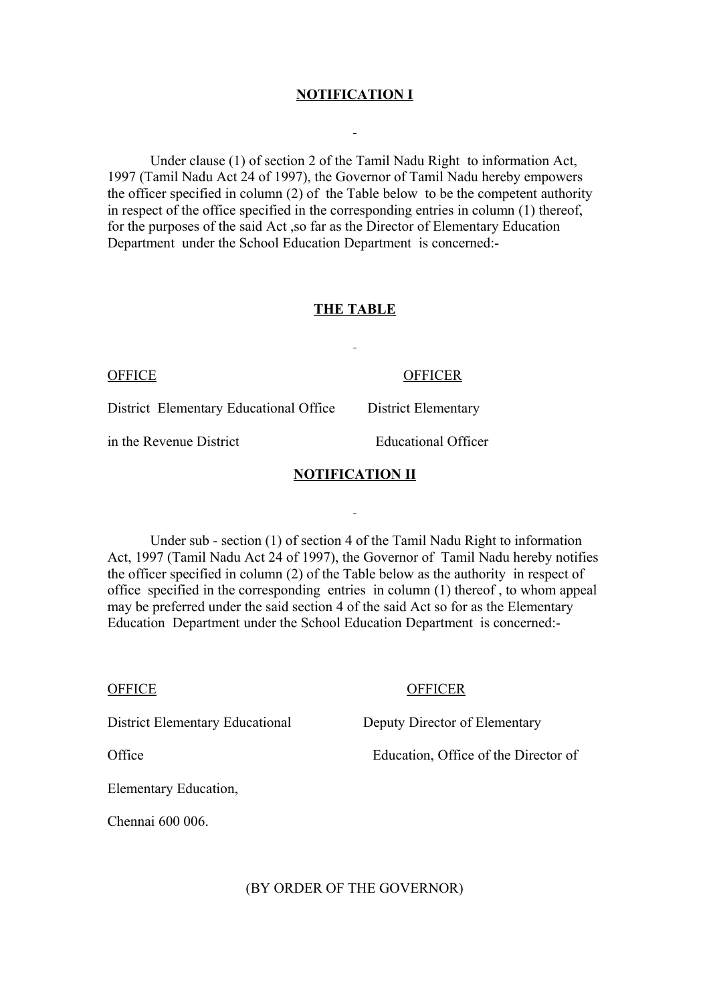## **NOTIFICATION I**

 Under clause (1) of section 2 of the Tamil Nadu Right to information Act, 1997 (Tamil Nadu Act 24 of 1997), the Governor of Tamil Nadu hereby empowers the officer specified in column (2) of the Table below to be the competent authority in respect of the office specified in the corresponding entries in column (1) thereof, for the purposes of the said Act ,so far as the Director of Elementary Education Department under the School Education Department is concerned:-

## **THE TABLE**

#### OFFICE OFFICER

District Elementary Educational Office District Elementary

in the Revenue District Educational Officer

### **NOTIFICATION II**

 Under sub - section (1) of section 4 of the Tamil Nadu Right to information Act, 1997 (Tamil Nadu Act 24 of 1997), the Governor of Tamil Nadu hereby notifies the officer specified in column (2) of the Table below as the authority in respect of office specified in the corresponding entries in column (1) thereof , to whom appeal may be preferred under the said section 4 of the said Act so for as the Elementary Education Department under the School Education Department is concerned:-

#### OFFICE OFFICER

District Elementary Educational Deputy Director of Elementary

Office Education, Office of the Director of

Elementary Education,

Chennai 600 006.

(BY ORDER OF THE GOVERNOR)